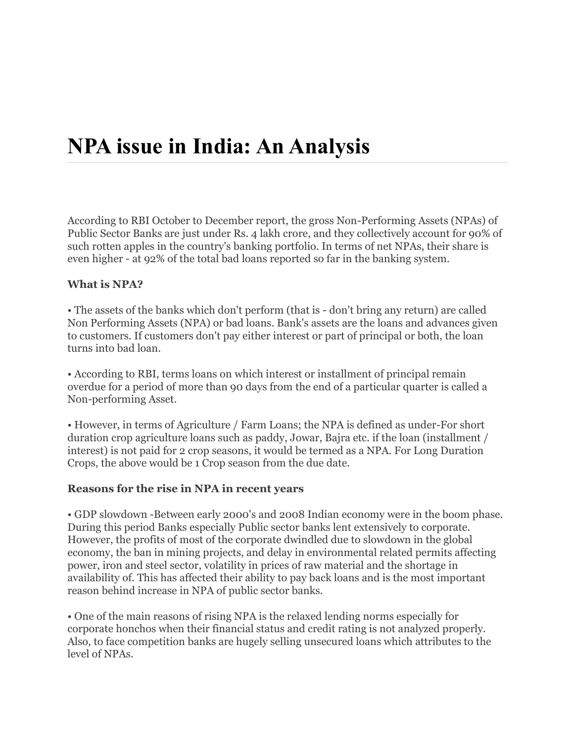# **NPA issue in India: An Analysis**

According to RBI October to December report, the gross Non-Performing Assets (NPAs) of Public Sector Banks are just under Rs. 4 lakh crore, and they collectively account for 90% of such rotten apples in the country's banking portfolio. In terms of net NPAs, their share is even higher - at 92% of the total bad loans reported so far in the banking system.

#### **What is NPA?**

• The assets of the banks which don't perform (that is - don't bring any return) are called Non Performing Assets (NPA) or bad loans. Bank's assets are the loans and advances given to customers. If customers don't pay either interest or part of principal or both, the loan turns into bad loan.

• According to RBI, terms loans on which interest or installment of principal remain overdue for a period of more than 90 days from the end of a particular quarter is called a Non-performing Asset.

• However, in terms of Agriculture / Farm Loans; the NPA is defined as under-For short duration crop agriculture loans such as paddy, Jowar, Bajra etc. if the loan (installment / interest) is not paid for 2 crop seasons, it would be termed as a NPA. For Long Duration Crops, the above would be 1 Crop season from the due date.

#### **Reasons for the rise in NPA in recent years**

• GDP slowdown -Between early 2000's and 2008 Indian economy were in the boom phase. During this period Banks especially Public sector banks lent extensively to corporate. However, the profits of most of the corporate dwindled due to slowdown in the global economy, the ban in mining projects, and delay in environmental related permits affecting power, iron and steel sector, volatility in prices of raw material and the shortage in availability of. This has affected their ability to pay back loans and is the most important reason behind increase in NPA of public sector banks.

• One of the main reasons of rising NPA is the relaxed lending norms especially for corporate honchos when their financial status and credit rating is not analyzed properly. Also, to face competition banks are hugely selling unsecured loans which attributes to the level of NPAs.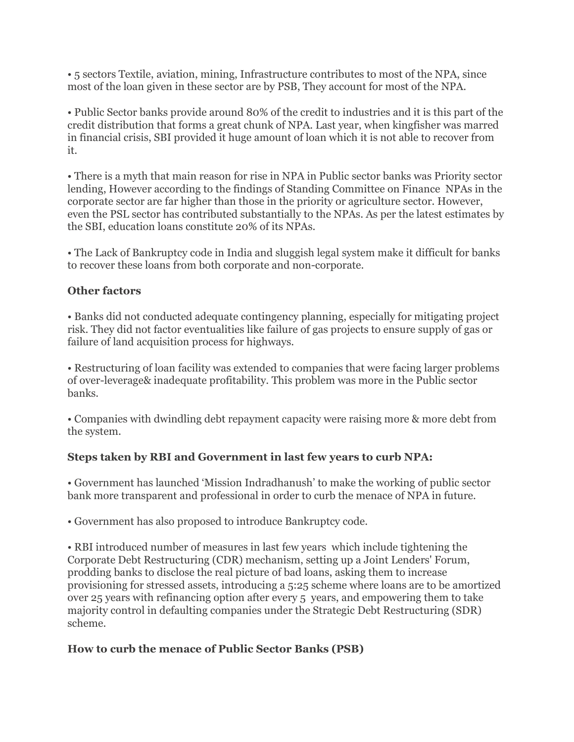• 5 sectors Textile, aviation, mining, Infrastructure contributes to most of the NPA, since most of the loan given in these sector are by PSB, They account for most of the NPA.

• Public Sector banks provide around 80% of the credit to industries and it is this part of the credit distribution that forms a great chunk of NPA. Last year, when kingfisher was marred in financial crisis, SBI provided it huge amount of loan which it is not able to recover from it.

• There is a myth that main reason for rise in NPA in Public sector banks was Priority sector lending, However according to the findings of Standing Committee on Finance NPAs in the corporate sector are far higher than those in the priority or agriculture sector. However, even the PSL sector has contributed substantially to the NPAs. As per the latest estimates by the SBI, education loans constitute 20% of its NPAs.

• The Lack of Bankruptcy code in India and sluggish legal system make it difficult for banks to recover these loans from both corporate and non-corporate.

### **Other factors**

• Banks did not conducted adequate contingency planning, especially for mitigating project risk. They did not factor eventualities like failure of gas projects to ensure supply of gas or failure of land acquisition process for highways.

• Restructuring of loan facility was extended to companies that were facing larger problems of over-leverage& inadequate profitability. This problem was more in the Public sector banks.

• Companies with dwindling debt repayment capacity were raising more & more debt from the system.

#### **Steps taken by RBI and Government in last few years to curb NPA:**

• Government has launched 'Mission Indradhanush' to make the working of public sector bank more transparent and professional in order to curb the menace of NPA in future.

• Government has also proposed to introduce Bankruptcy code.

• RBI introduced number of measures in last few years which include tightening the Corporate Debt Restructuring (CDR) mechanism, setting up a Joint Lenders' Forum, prodding banks to disclose the real picture of bad loans, asking them to increase provisioning for stressed assets, introducing a 5:25 scheme where loans are to be amortized over 25 years with refinancing option after every 5 years, and empowering them to take majority control in defaulting companies under the Strategic Debt Restructuring (SDR) scheme.

## **How to curb the menace of Public Sector Banks (PSB)**